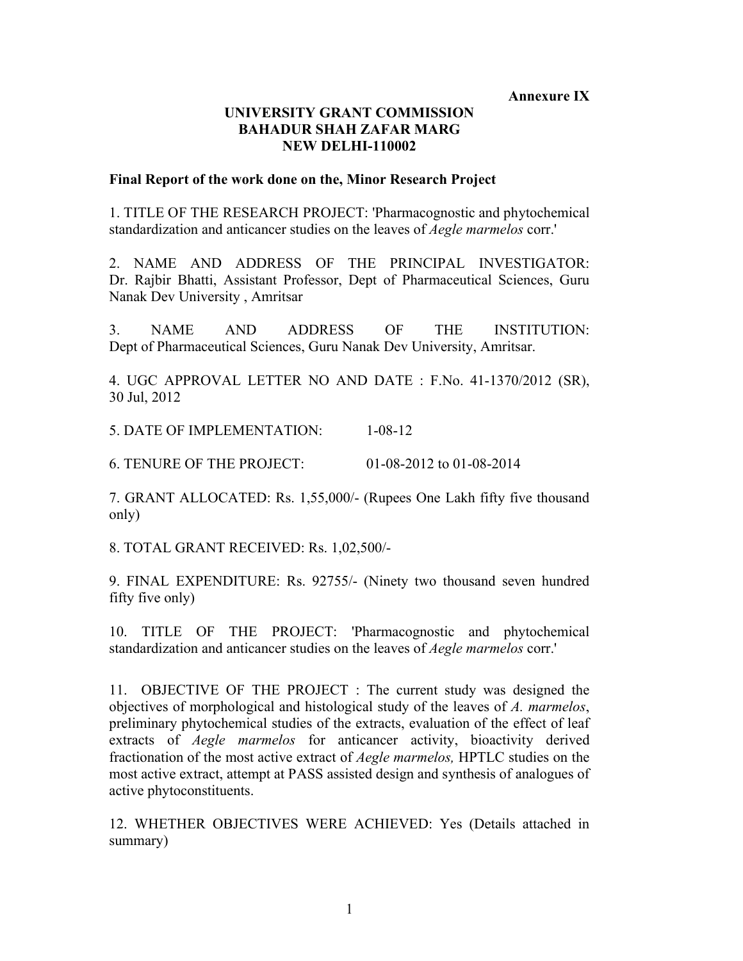**Annexure IX**

## **UNIVERSITY GRANT COMMISSION BAHADUR SHAH ZAFAR MARG NEW DELHI-110002**

## **Final Report of the work done on the, Minor Research Project**

1. TITLE OF THE RESEARCH PROJECT: 'Pharmacognostic and phytochemical standardization and anticancer studies on the leaves of *Aegle marmelos* corr.'

2. NAME AND ADDRESS OF THE PRINCIPAL INVESTIGATOR: Dr. Rajbir Bhatti, Assistant Professor, Dept of Pharmaceutical Sciences, Guru Nanak Dev University , Amritsar

3. NAME AND ADDRESS OF THE INSTITUTION: Dept of Pharmaceutical Sciences, Guru Nanak Dev University, Amritsar.

4. UGC APPROVAL LETTER NO AND DATE : F.No. 41-1370/2012 (SR), 30 Jul, 2012

5. DATE OF IMPLEMENTATION: 1-08-12

6. TENURE OF THE PROJECT: 01-08-2012 to 01-08-2014

7. GRANT ALLOCATED: Rs. 1,55,000/- (Rupees One Lakh fifty five thousand only)

8. TOTAL GRANT RECEIVED: Rs. 1,02,500/-

9. FINAL EXPENDITURE: Rs. 92755/- (Ninety two thousand seven hundred fifty five only)

10. TITLE OF THE PROJECT: 'Pharmacognostic and phytochemical standardization and anticancer studies on the leaves of *Aegle marmelos* corr.'

11. OBJECTIVE OF THE PROJECT : The current study was designed the objectives of morphological and histological study of the leaves of *A. marmelos*, preliminary phytochemical studies of the extracts, evaluation of the effect of leaf extracts of *Aegle marmelos* for anticancer activity, bioactivity derived fractionation of the most active extract of *Aegle marmelos,* HPTLC studies on the most active extract, attempt at PASS assisted design and synthesis of analogues of active phytoconstituents.

12. WHETHER OBJECTIVES WERE ACHIEVED: Yes (Details attached in summary)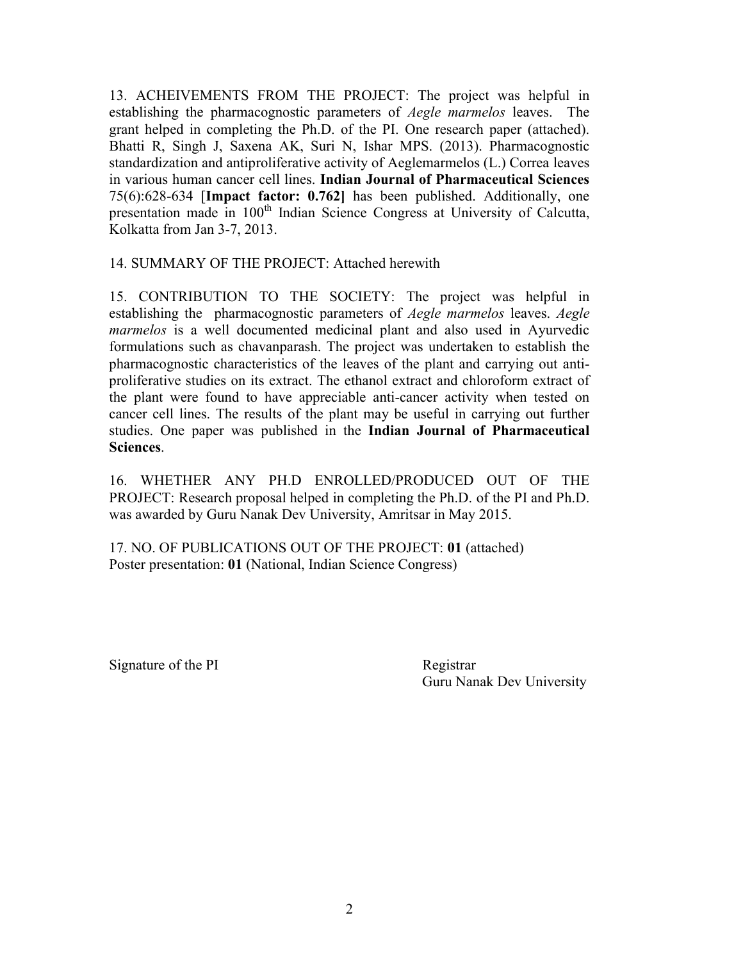13. ACHEIVEMENTS FROM THE PROJECT: The project was helpful in establishing the pharmacognostic parameters of *Aegle marmelos* leaves. The grant helped in completing the Ph.D. of the PI. One research paper (attached). Bhatti R, Singh J, Saxena AK, Suri N, Ishar MPS. (2013). Pharmacognostic standardization and antiproliferative activity of Aeglemarmelos (L.) Correa leaves in various human cancer cell lines. **Indian Journal of Pharmaceutical Sciences** 75(6):628-634 [**Impact factor: 0.762]** has been published. Additionally, one presentation made in 100<sup>th</sup> Indian Science Congress at University of Calcutta, Kolkatta from Jan 3-7, 2013.

14. SUMMARY OF THE PROJECT: Attached herewith

15. CONTRIBUTION TO THE SOCIETY: The project was helpful in establishing the pharmacognostic parameters of *Aegle marmelos* leaves. *Aegle marmelos* is a well documented medicinal plant and also used in Ayurvedic formulations such as chavanparash. The project was undertaken to establish the pharmacognostic characteristics of the leaves of the plant and carrying out antiproliferative studies on its extract. The ethanol extract and chloroform extract of the plant were found to have appreciable anti-cancer activity when tested on cancer cell lines. The results of the plant may be useful in carrying out further studies. One paper was published in the **Indian Journal of Pharmaceutical Sciences**.

16. WHETHER ANY PH.D ENROLLED/PRODUCED OUT OF THE PROJECT: Research proposal helped in completing the Ph.D. of the PI and Ph.D. was awarded by Guru Nanak Dev University, Amritsar in May 2015.

17. NO. OF PUBLICATIONS OUT OF THE PROJECT: **01** (attached) Poster presentation: **01** (National, Indian Science Congress)

Signature of the PI Registrar

Guru Nanak Dev University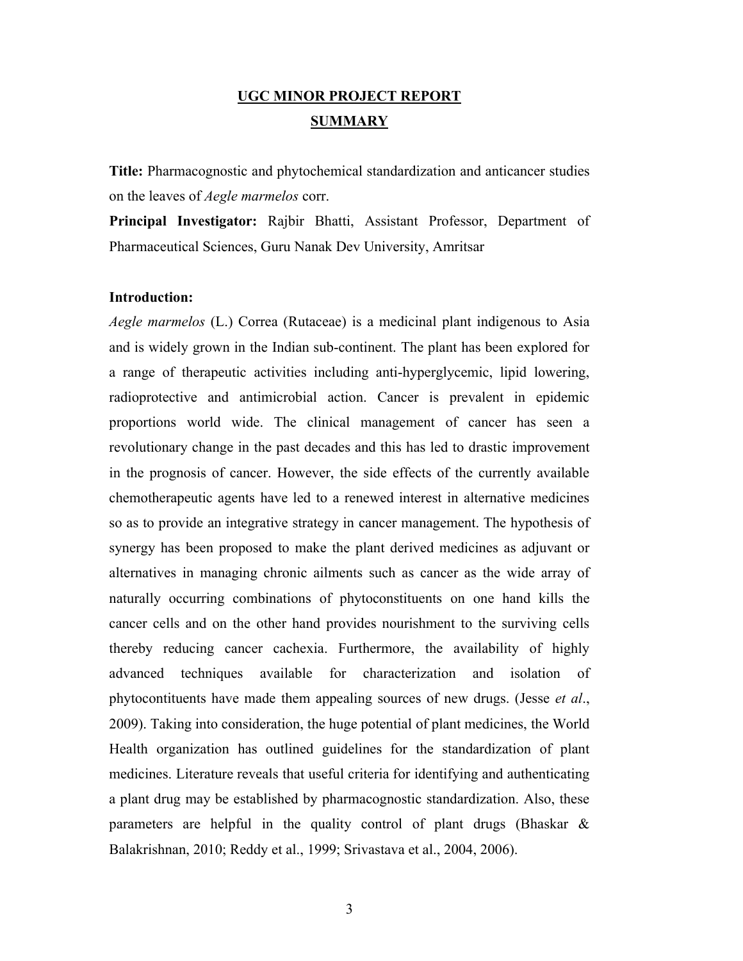# **UGC MINOR PROJECT REPORT SUMMARY**

**Title:** Pharmacognostic and phytochemical standardization and anticancer studies on the leaves of *Aegle marmelos* corr.

**Principal Investigator:** Rajbir Bhatti, Assistant Professor, Department of Pharmaceutical Sciences, Guru Nanak Dev University, Amritsar

#### **Introduction:**

*Aegle marmelos* (L.) Correa (Rutaceae) is a medicinal plant indigenous to Asia and is widely grown in the Indian sub-continent. The plant has been explored for a range of therapeutic activities including anti-hyperglycemic, lipid lowering, radioprotective and antimicrobial action. Cancer is prevalent in epidemic proportions world wide. The clinical management of cancer has seen a revolutionary change in the past decades and this has led to drastic improvement in the prognosis of cancer. However, the side effects of the currently available chemotherapeutic agents have led to a renewed interest in alternative medicines so as to provide an integrative strategy in cancer management. The hypothesis of synergy has been proposed to make the plant derived medicines as adjuvant or alternatives in managing chronic ailments such as cancer as the wide array of naturally occurring combinations of phytoconstituents on one hand kills the cancer cells and on the other hand provides nourishment to the surviving cells thereby reducing cancer cachexia. Furthermore, the availability of highly advanced techniques available for characterization and isolation of phytocontituents have made them appealing sources of new drugs. (Jesse *et al*., 2009). Taking into consideration, the huge potential of plant medicines, the World Health organization has outlined guidelines for the standardization of plant medicines. Literature reveals that useful criteria for identifying and authenticating a plant drug may be established by pharmacognostic standardization. Also, these parameters are helpful in the quality control of plant drugs (Bhaskar & Balakrishnan, 2010; Reddy et al., 1999; Srivastava et al., 2004, 2006).

3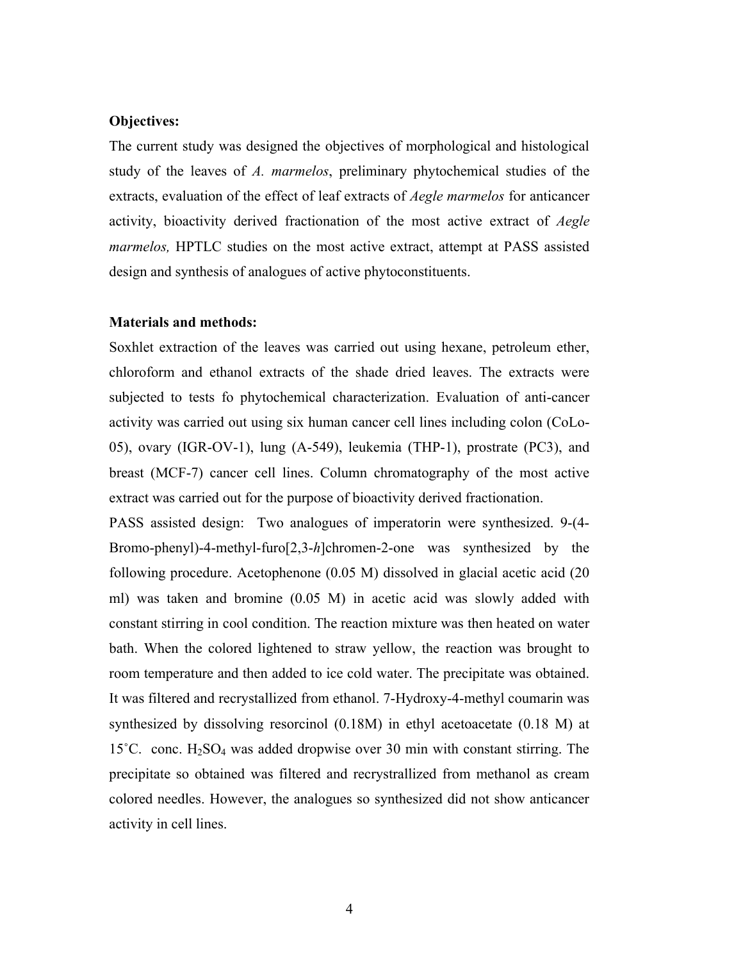### **Objectives:**

The current study was designed the objectives of morphological and histological study of the leaves of *A. marmelos*, preliminary phytochemical studies of the extracts, evaluation of the effect of leaf extracts of *Aegle marmelos* for anticancer activity, bioactivity derived fractionation of the most active extract of *Aegle marmelos,* HPTLC studies on the most active extract, attempt at PASS assisted design and synthesis of analogues of active phytoconstituents.

#### **Materials and methods:**

Soxhlet extraction of the leaves was carried out using hexane, petroleum ether, chloroform and ethanol extracts of the shade dried leaves. The extracts were subjected to tests fo phytochemical characterization. Evaluation of anti-cancer activity was carried out using six human cancer cell lines including colon (CoLo-05), ovary (IGR-OV-1), lung (A-549), leukemia (THP-1), prostrate (PC3), and breast (MCF-7) cancer cell lines. Column chromatography of the most active extract was carried out for the purpose of bioactivity derived fractionation.

PASS assisted design: Two analogues of imperatorin were synthesized. 9-(4- Bromo-phenyl)-4-methyl-furo[2,3-*h*]chromen-2-one was synthesized by the following procedure. Acetophenone (0.05 M) dissolved in glacial acetic acid (20 ml) was taken and bromine (0.05 M) in acetic acid was slowly added with constant stirring in cool condition. The reaction mixture was then heated on water bath. When the colored lightened to straw yellow, the reaction was brought to room temperature and then added to ice cold water. The precipitate was obtained. It was filtered and recrystallized from ethanol. 7-Hydroxy-4-methyl coumarin was synthesized by dissolving resorcinol (0.18M) in ethyl acetoacetate (0.18 M) at 15<sup> $\degree$ </sup>C. conc. H<sub>2</sub>SO<sub>4</sub> was added dropwise over 30 min with constant stirring. The precipitate so obtained was filtered and recrystrallized from methanol as cream colored needles. However, the analogues so synthesized did not show anticancer activity in cell lines.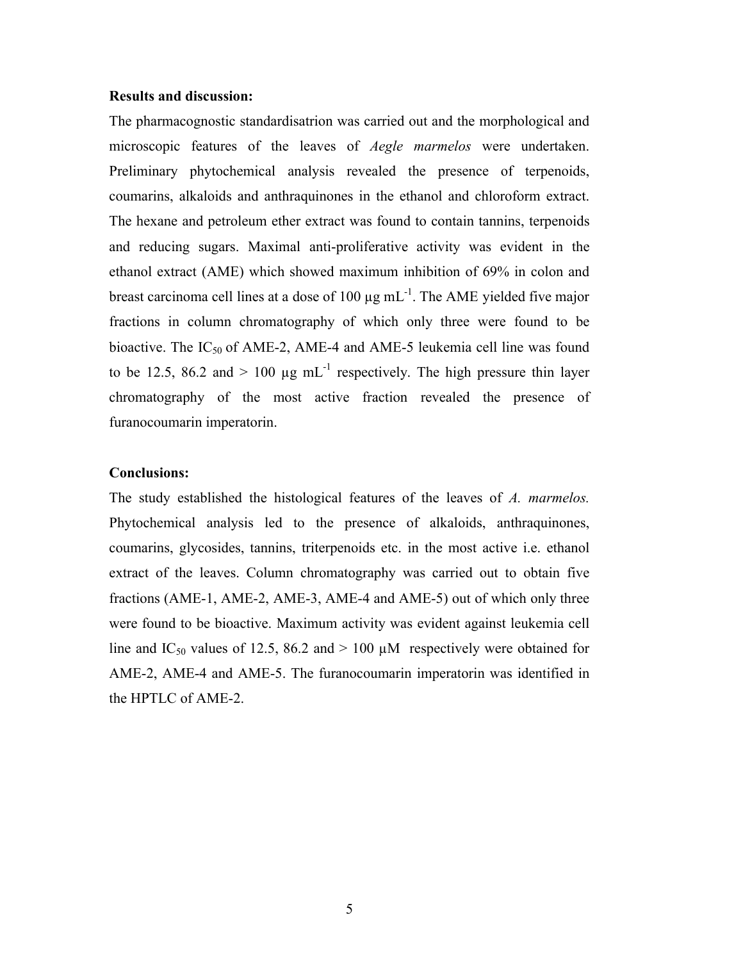### **Results and discussion:**

The pharmacognostic standardisatrion was carried out and the morphological and microscopic features of the leaves of *Aegle marmelos* were undertaken. Preliminary phytochemical analysis revealed the presence of terpenoids, coumarins, alkaloids and anthraquinones in the ethanol and chloroform extract. The hexane and petroleum ether extract was found to contain tannins, terpenoids and reducing sugars. Maximal anti-proliferative activity was evident in the ethanol extract (AME) which showed maximum inhibition of 69% in colon and breast carcinoma cell lines at a dose of 100  $\mu$ g mL<sup>-1</sup>. The AME yielded five major fractions in column chromatography of which only three were found to be bioactive. The  $IC_{50}$  of AME-2, AME-4 and AME-5 leukemia cell line was found to be 12.5, 86.2 and  $> 100 \mu g \text{ mL}^{-1}$  respectively. The high pressure thin layer chromatography of the most active fraction revealed the presence of furanocoumarin imperatorin.

### **Conclusions:**

The study established the histological features of the leaves of *A. marmelos.* Phytochemical analysis led to the presence of alkaloids, anthraquinones, coumarins, glycosides, tannins, triterpenoids etc. in the most active i.e. ethanol extract of the leaves. Column chromatography was carried out to obtain five fractions (AME-1, AME-2, AME-3, AME-4 and AME-5) out of which only three were found to be bioactive. Maximum activity was evident against leukemia cell line and IC<sub>50</sub> values of 12.5, 86.2 and  $> 100 \mu M$  respectively were obtained for AME-2, AME-4 and AME-5. The furanocoumarin imperatorin was identified in the HPTLC of AME-2.